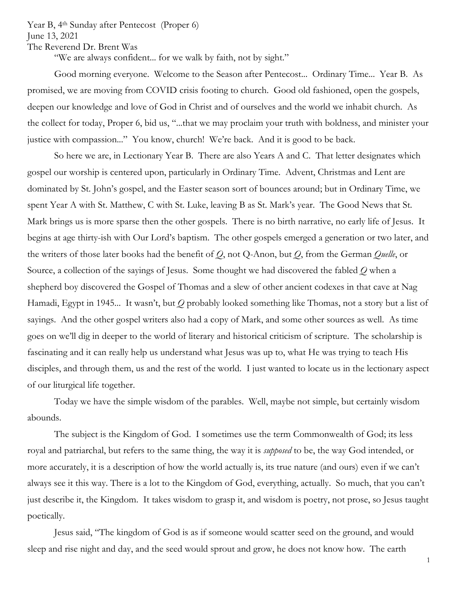Year B, 4<sup>th</sup> Sunday after Pentecost (Proper 6) June 13, 2021 The Reverend Dr. Brent Was

"We are always confident... for we walk by faith, not by sight."

Good morning everyone. Welcome to the Season after Pentecost... Ordinary Time... Year B. As promised, we are moving from COVID crisis footing to church. Good old fashioned, open the gospels, deepen our knowledge and love of God in Christ and of ourselves and the world we inhabit church. As the collect for today, Proper 6, bid us, "...that we may proclaim your truth with boldness, and minister your justice with compassion..." You know, church! We're back. And it is good to be back.

So here we are, in Lectionary Year B. There are also Years A and C. That letter designates which gospel our worship is centered upon, particularly in Ordinary Time. Advent, Christmas and Lent are dominated by St. John's gospel, and the Easter season sort of bounces around; but in Ordinary Time, we spent Year A with St. Matthew, C with St. Luke, leaving B as St. Mark's year. The Good News that St. Mark brings us is more sparse then the other gospels. There is no birth narrative, no early life of Jesus. It begins at age thirty-ish with Our Lord's baptism. The other gospels emerged a generation or two later, and the writers of those later books had the benefit of *Q*, not Q-Anon, but *Q*, from the German *Quelle*, or Source, a collection of the sayings of Jesus. Some thought we had discovered the fabled *Q* when a shepherd boy discovered the Gospel of Thomas and a slew of other ancient codexes in that cave at Nag Hamadi, Egypt in 1945... It wasn't, but *Q* probably looked something like Thomas, not a story but a list of sayings. And the other gospel writers also had a copy of Mark, and some other sources as well. As time goes on we'll dig in deeper to the world of literary and historical criticism of scripture. The scholarship is fascinating and it can really help us understand what Jesus was up to, what He was trying to teach His disciples, and through them, us and the rest of the world. I just wanted to locate us in the lectionary aspect of our liturgical life together.

Today we have the simple wisdom of the parables. Well, maybe not simple, but certainly wisdom abounds.

The subject is the Kingdom of God. I sometimes use the term Commonwealth of God; its less royal and patriarchal, but refers to the same thing, the way it is *supposed* to be, the way God intended, or more accurately, it is a description of how the world actually is, its true nature (and ours) even if we can't always see it this way. There is a lot to the Kingdom of God, everything, actually. So much, that you can't just describe it, the Kingdom. It takes wisdom to grasp it, and wisdom is poetry, not prose, so Jesus taught poetically.

Jesus said, "The kingdom of God is as if someone would scatter seed on the ground, and would sleep and rise night and day, and the seed would sprout and grow, he does not know how. The earth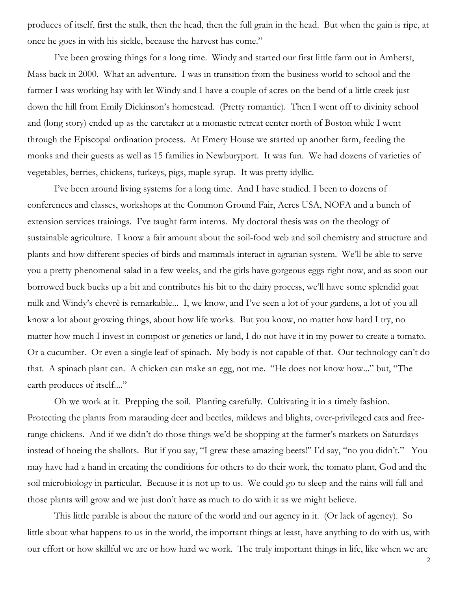produces of itself, first the stalk, then the head, then the full grain in the head. But when the gain is ripe, at once he goes in with his sickle, because the harvest has come."

I've been growing things for a long time. Windy and started our first little farm out in Amherst, Mass back in 2000. What an adventure. I was in transition from the business world to school and the farmer I was working hay with let Windy and I have a couple of acres on the bend of a little creek just down the hill from Emily Dickinson's homestead. (Pretty romantic). Then I went off to divinity school and (long story) ended up as the caretaker at a monastic retreat center north of Boston while I went through the Episcopal ordination process. At Emery House we started up another farm, feeding the monks and their guests as well as 15 families in Newburyport. It was fun. We had dozens of varieties of vegetables, berries, chickens, turkeys, pigs, maple syrup. It was pretty idyllic.

I've been around living systems for a long time. And I have studied. I been to dozens of conferences and classes, workshops at the Common Ground Fair, Acres USA, NOFA and a bunch of extension services trainings. I've taught farm interns. My doctoral thesis was on the theology of sustainable agriculture. I know a fair amount about the soil-food web and soil chemistry and structure and plants and how different species of birds and mammals interact in agrarian system. We'll be able to serve you a pretty phenomenal salad in a few weeks, and the girls have gorgeous eggs right now, and as soon our borrowed buck bucks up a bit and contributes his bit to the dairy process, we'll have some splendid goat milk and Windy's chevrè is remarkable... I, we know, and I've seen a lot of your gardens, a lot of you all know a lot about growing things, about how life works. But you know, no matter how hard I try, no matter how much I invest in compost or genetics or land, I do not have it in my power to create a tomato. Or a cucumber. Or even a single leaf of spinach. My body is not capable of that. Our technology can't do that. A spinach plant can. A chicken can make an egg, not me. "He does not know how..." but, "The earth produces of itself...."

Oh we work at it. Prepping the soil. Planting carefully. Cultivating it in a timely fashion. Protecting the plants from marauding deer and beetles, mildews and blights, over-privileged cats and freerange chickens. And if we didn't do those things we'd be shopping at the farmer's markets on Saturdays instead of hoeing the shallots. But if you say, "I grew these amazing beets!" I'd say, "no you didn't." You may have had a hand in creating the conditions for others to do their work, the tomato plant, God and the soil microbiology in particular. Because it is not up to us. We could go to sleep and the rains will fall and those plants will grow and we just don't have as much to do with it as we might believe.

This little parable is about the nature of the world and our agency in it. (Or lack of agency). So little about what happens to us in the world, the important things at least, have anything to do with us, with our effort or how skillful we are or how hard we work. The truly important things in life, like when we are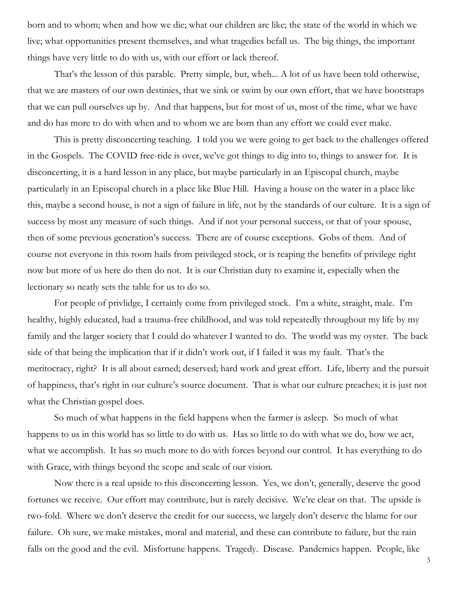born and to whom; when and how we die; what our children are like; the state of the world in which we live; what opportunities present themselves, and what tragedies befall us. The big things, the important things have very little to do with us, with our effort or lack thereof.

That's the lesson of this parable. Pretty simple, but, wheh... A lot of us have been told otherwise, that we are masters of our own destinies, that we sink or swim by our own effort, that we have bootstraps that we can pull ourselves up by. And that happens, but for most of us, most of the time, what we have and do has more to do with when and to whom we are born than any effort we could ever make.

This is pretty disconcerting teaching. I told you we were going to get back to the challenges offered in the Gospels. The COVID free-ride is over, we've got things to dig into to, things to answer for. It is disconcerting, it is a hard lesson in any place, but maybe particularly in an Episcopal church, maybe particularly in an Episcopal church in a place like Blue Hill. Having a house on the water in a place like this, maybe a second house, is not a sign of failure in life, not by the standards of our culture. It is a sign of success by most any measure of such things. And if not your personal success, or that of your spouse, then of some previous generation's success. There are of course exceptions. Gobs of them. And of course not everyone in this room hails from privileged stock, or is reaping the benefits of privilege right now but more of us here do then do not. It is our Christian duty to examine it, especially when the lectionary so neatly sets the table for us to do so.

For people of privlidge, I certainly come from privileged stock. I'm a white, straight, male. I'm healthy, highly educated, had a trauma-free childhood, and was told repeatedly throughout my life by my family and the larger society that I could do whatever I wanted to do. The world was my oyster. The back side of that being the implication that if it didn't work out, if I failed it was my fault. That's the meritocracy, right? It is all about earned; deserved; hard work and great effort. Life, liberty and the pursuit of happiness, that's right in our culture's source document. That is what our culture preaches; it is just not what the Christian gospel does.

So much of what happens in the field happens when the farmer is asleep. So much of what happens to us in this world has so little to do with us. Has so little to do with what we do, how we act, what we accomplish. It has so much more to do with forces beyond our control. It has everything to do with Grace, with things beyond the scope and scale of our vision.

Now there is a real upside to this disconcerting lesson. Yes, we don't, generally, deserve the good fortunes we receive. Our effort may contribute, but is rarely decisive. We're clear on that. The upside is two-fold. Where we don't deserve the credit for our success, we largely don't deserve the blame for our failure. Oh sure, we make mistakes, moral and material, and these can contribute to failure, but the rain falls on the good and the evil. Misfortune happens. Tragedy. Disease. Pandemics happen. People, like